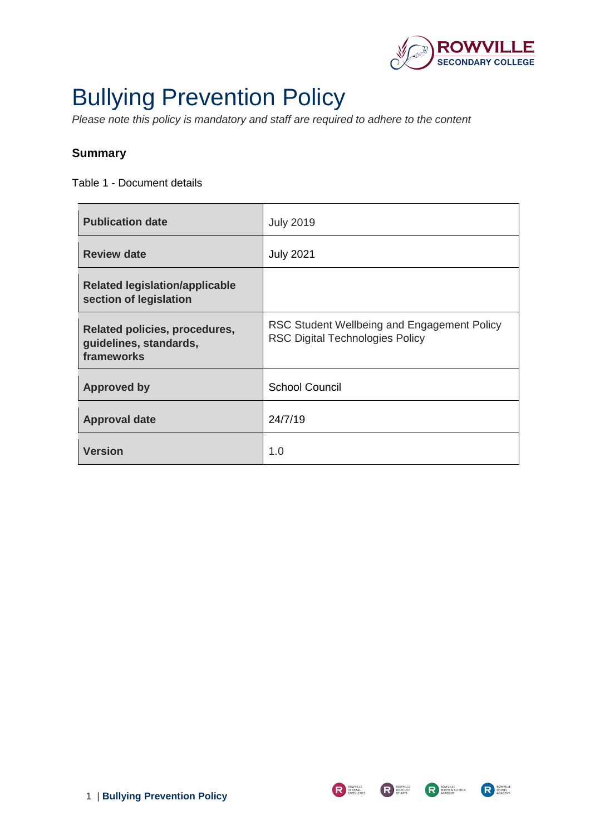

# <span id="page-0-0"></span>Bullying Prevention Policy

*Please note this policy is mandatory and staff are required to adhere to the content* 

# <span id="page-0-1"></span>**Summary**

Table 1 - Document details

| <b>Publication date</b>                                               | <b>July 2019</b>                                                                      |
|-----------------------------------------------------------------------|---------------------------------------------------------------------------------------|
| <b>Review date</b>                                                    | <b>July 2021</b>                                                                      |
| <b>Related legislation/applicable</b><br>section of legislation       |                                                                                       |
| Related policies, procedures,<br>guidelines, standards,<br>frameworks | RSC Student Wellbeing and Engagement Policy<br><b>RSC Digital Technologies Policy</b> |
| <b>Approved by</b>                                                    | <b>School Council</b>                                                                 |
| <b>Approval date</b>                                                  | 24/7/19                                                                               |
| <b>Version</b>                                                        | 1.0                                                                                   |

R BUNERAL EXCELLENCE



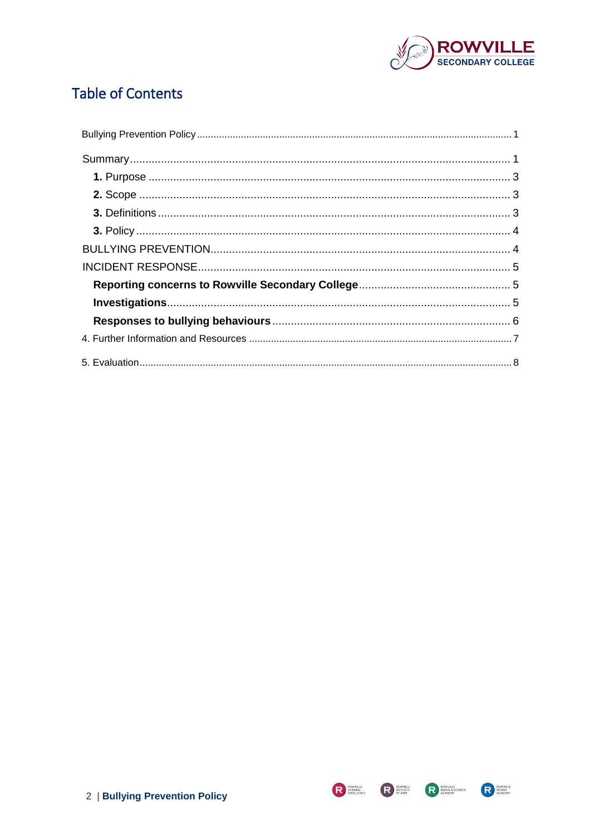

# **Table of Contents**



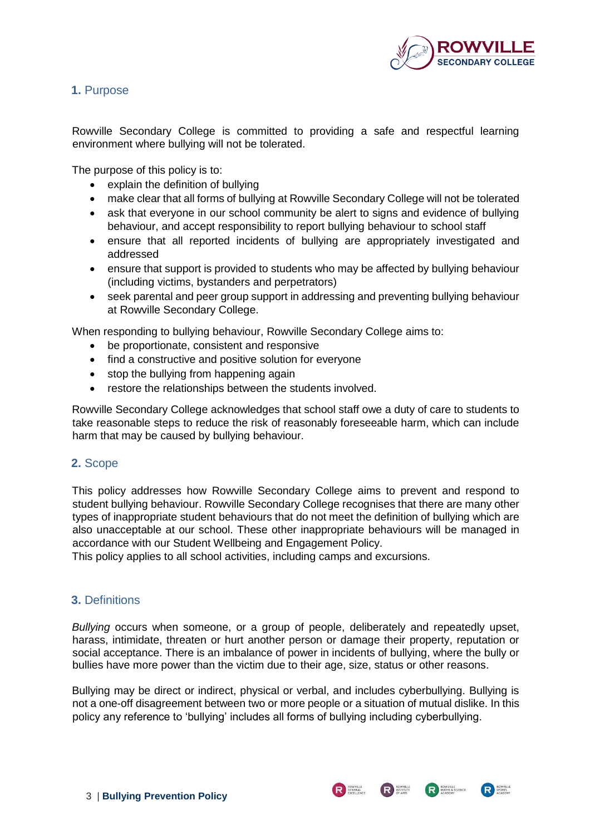

# <span id="page-2-0"></span>**1.** Purpose

Rowville Secondary College is committed to providing a safe and respectful learning environment where bullying will not be tolerated.

The purpose of this policy is to:

- explain the definition of bullying
- make clear that all forms of bullying at Rowville Secondary College will not be tolerated
- ask that everyone in our school community be alert to signs and evidence of bullying behaviour, and accept responsibility to report bullying behaviour to school staff
- ensure that all reported incidents of bullying are appropriately investigated and addressed
- ensure that support is provided to students who may be affected by bullying behaviour (including victims, bystanders and perpetrators)
- seek parental and peer group support in addressing and preventing bullying behaviour at Rowville Secondary College.

When responding to bullying behaviour, Rowville Secondary College aims to:

- be proportionate, consistent and responsive
- find a constructive and positive solution for everyone
- stop the bullying from happening again
- restore the relationships between the students involved.

Rowville Secondary College acknowledges that school staff owe a duty of care to students to take reasonable steps to reduce the risk of reasonably foreseeable harm, which can include harm that may be caused by bullying behaviour.

#### <span id="page-2-1"></span>**2.** Scope

This policy addresses how Rowville Secondary College aims to prevent and respond to student bullying behaviour. Rowville Secondary College recognises that there are many other types of inappropriate student behaviours that do not meet the definition of bullying which are also unacceptable at our school. These other inappropriate behaviours will be managed in accordance with our Student Wellbeing and Engagement Policy.

This policy applies to all school activities, including camps and excursions.

#### <span id="page-2-2"></span>**3.** Definitions

*Bullying* occurs when someone, or a group of people, deliberately and repeatedly upset, harass, intimidate, threaten or hurt another person or damage their property, reputation or social acceptance. There is an imbalance of power in incidents of bullying, where the bully or bullies have more power than the victim due to their age, size, status or other reasons.

Bullying may be direct or indirect, physical or verbal, and includes cyberbullying. Bullying is not a one-off disagreement between two or more people or a situation of mutual dislike. In this policy any reference to 'bullying' includes all forms of bullying including cyberbullying.

R SENERAL

R INSTITUTE

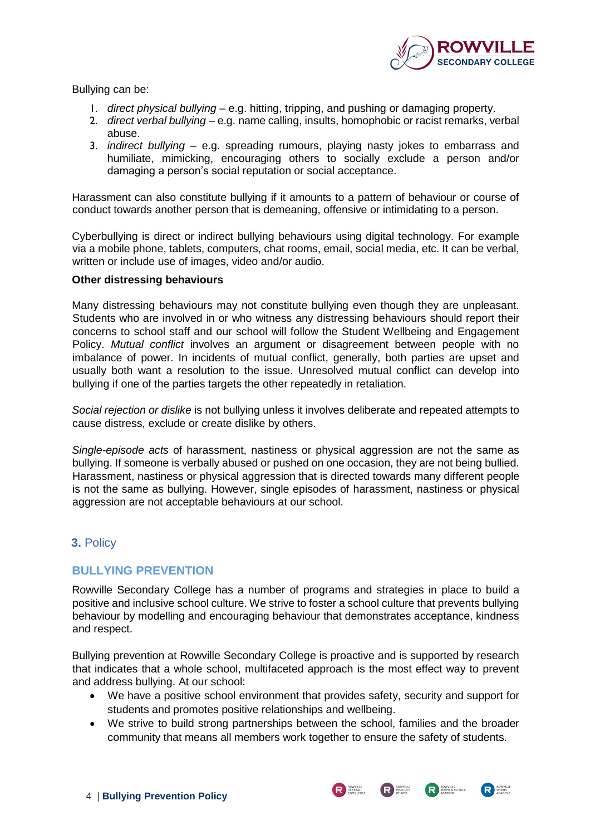

Bullying can be:

- 1. *direct physical bullying* e.g. hitting, tripping, and pushing or damaging property.
- 2. *direct verbal bullying* e.g. name calling, insults, homophobic or racist remarks, verbal abuse.
- 3. *indirect bullying* e.g. spreading rumours, playing nasty jokes to embarrass and humiliate, mimicking, encouraging others to socially exclude a person and/or damaging a person's social reputation or social acceptance.

Harassment can also constitute bullying if it amounts to a pattern of behaviour or course of conduct towards another person that is demeaning, offensive or intimidating to a person.

Cyberbullying is direct or indirect bullying behaviours using digital technology. For example via a mobile phone, tablets, computers, chat rooms, email, social media, etc. It can be verbal, written or include use of images, video and/or audio.

#### **Other distressing behaviours**

Many distressing behaviours may not constitute bullying even though they are unpleasant. Students who are involved in or who witness any distressing behaviours should report their concerns to school staff and our school will follow the Student Wellbeing and Engagement Policy. *Mutual conflict* involves an argument or disagreement between people with no imbalance of power. In incidents of mutual conflict, generally, both parties are upset and usually both want a resolution to the issue. Unresolved mutual conflict can develop into bullying if one of the parties targets the other repeatedly in retaliation.

*Social rejection or dislike* is not bullying unless it involves deliberate and repeated attempts to cause distress, exclude or create dislike by others.

*Single-episode acts* of harassment, nastiness or physical aggression are not the same as bullying. If someone is verbally abused or pushed on one occasion, they are not being bullied. Harassment, nastiness or physical aggression that is directed towards many different people is not the same as bullying. However, single episodes of harassment, nastiness or physical aggression are not acceptable behaviours at our school.

# <span id="page-3-0"></span>**3.** Policy

# <span id="page-3-1"></span>**BULLYING PREVENTION**

Rowville Secondary College has a number of programs and strategies in place to build a positive and inclusive school culture. We strive to foster a school culture that prevents bullying behaviour by modelling and encouraging behaviour that demonstrates acceptance, kindness and respect.

Bullying prevention at Rowville Secondary College is proactive and is supported by research that indicates that a whole school, multifaceted approach is the most effect way to prevent and address bullying. At our school:

- We have a positive school environment that provides safety, security and support for students and promotes positive relationships and wellbeing.
- We strive to build strong partnerships between the school, families and the broader community that means all members work together to ensure the safety of students.

R BOWVILLE

R INSTITUTE



**READ MATHS & SCIENCE**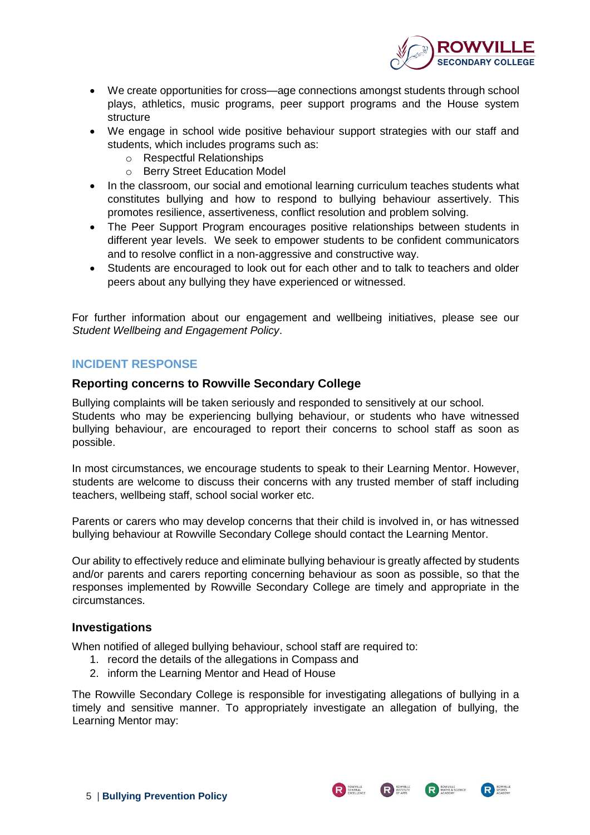

- We create opportunities for cross—age connections amongst students through school plays, athletics, music programs, peer support programs and the House system structure
- We engage in school wide positive behaviour support strategies with our staff and students, which includes programs such as:
	- o Respectful Relationships
	- o Berry Street Education Model
- In the classroom, our social and emotional learning curriculum teaches students what constitutes bullying and how to respond to bullying behaviour assertively. This promotes resilience, assertiveness, conflict resolution and problem solving.
- The Peer Support Program encourages positive relationships between students in different year levels. We seek to empower students to be confident communicators and to resolve conflict in a non-aggressive and constructive way.
- Students are encouraged to look out for each other and to talk to teachers and older peers about any bullying they have experienced or witnessed.

For further information about our engagement and wellbeing initiatives, please see our *Student Wellbeing and Engagement Policy*.

#### <span id="page-4-0"></span>**INCIDENT RESPONSE**

#### <span id="page-4-1"></span>**Reporting concerns to Rowville Secondary College**

Bullying complaints will be taken seriously and responded to sensitively at our school. Students who may be experiencing bullying behaviour, or students who have witnessed bullying behaviour, are encouraged to report their concerns to school staff as soon as possible.

In most circumstances, we encourage students to speak to their Learning Mentor. However, students are welcome to discuss their concerns with any trusted member of staff including teachers, wellbeing staff, school social worker etc.

Parents or carers who may develop concerns that their child is involved in, or has witnessed bullying behaviour at Rowville Secondary College should contact the Learning Mentor.

Our ability to effectively reduce and eliminate bullying behaviour is greatly affected by students and/or parents and carers reporting concerning behaviour as soon as possible, so that the responses implemented by Rowville Secondary College are timely and appropriate in the circumstances.

#### <span id="page-4-2"></span>**Investigations**

When notified of alleged bullying behaviour, school staff are required to:

- 1. record the details of the allegations in Compass and
- 2. inform the Learning Mentor and Head of House

The Rowville Secondary College is responsible for investigating allegations of bullying in a timely and sensitive manner. To appropriately investigate an allegation of bullying, the Learning Mentor may:

R ROWVILLE



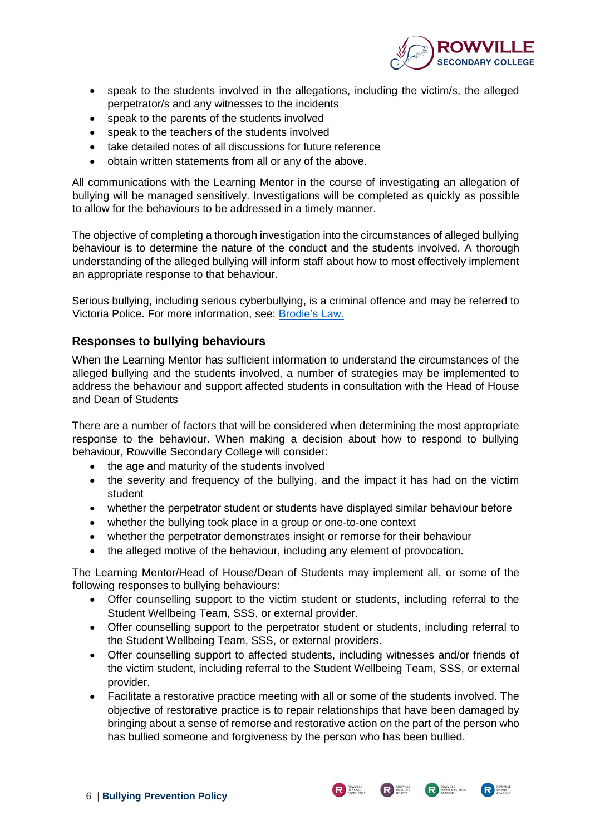

- speak to the students involved in the allegations, including the victim/s, the alleged perpetrator/s and any witnesses to the incidents
- speak to the parents of the students involved
- speak to the teachers of the students involved
- take detailed notes of all discussions for future reference
- obtain written statements from all or any of the above.

All communications with the Learning Mentor in the course of investigating an allegation of bullying will be managed sensitively. Investigations will be completed as quickly as possible to allow for the behaviours to be addressed in a timely manner.

The objective of completing a thorough investigation into the circumstances of alleged bullying behaviour is to determine the nature of the conduct and the students involved. A thorough understanding of the alleged bullying will inform staff about how to most effectively implement an appropriate response to that behaviour.

Serious bullying, including serious cyberbullying, is a criminal offence and may be referred to Victoria Police. For more information, see: [Brodie's Law.](http://www.education.vic.gov.au/about/programs/bullystoppers/Pages/advicesheetbrodieslaw.aspx)

#### <span id="page-5-0"></span>**Responses to bullying behaviours**

When the Learning Mentor has sufficient information to understand the circumstances of the alleged bullying and the students involved, a number of strategies may be implemented to address the behaviour and support affected students in consultation with the Head of House and Dean of Students

There are a number of factors that will be considered when determining the most appropriate response to the behaviour. When making a decision about how to respond to bullying behaviour, Rowville Secondary College will consider:

- the age and maturity of the students involved
- the severity and frequency of the bullying, and the impact it has had on the victim student
- whether the perpetrator student or students have displayed similar behaviour before
- whether the bullying took place in a group or one-to-one context
- whether the perpetrator demonstrates insight or remorse for their behaviour
- the alleged motive of the behaviour, including any element of provocation.

The Learning Mentor/Head of House/Dean of Students may implement all, or some of the following responses to bullying behaviours:

- Offer counselling support to the victim student or students, including referral to the Student Wellbeing Team, SSS, or external provider.
- Offer counselling support to the perpetrator student or students, including referral to the Student Wellbeing Team, SSS, or external providers.
- Offer counselling support to affected students, including witnesses and/or friends of the victim student, including referral to the Student Wellbeing Team, SSS, or external provider.
- Facilitate a restorative practice meeting with all or some of the students involved. The objective of restorative practice is to repair relationships that have been damaged by bringing about a sense of remorse and restorative action on the part of the person who has bullied someone and forgiveness by the person who has been bullied.

R SENERAL PACKLER

R INSTITUTE

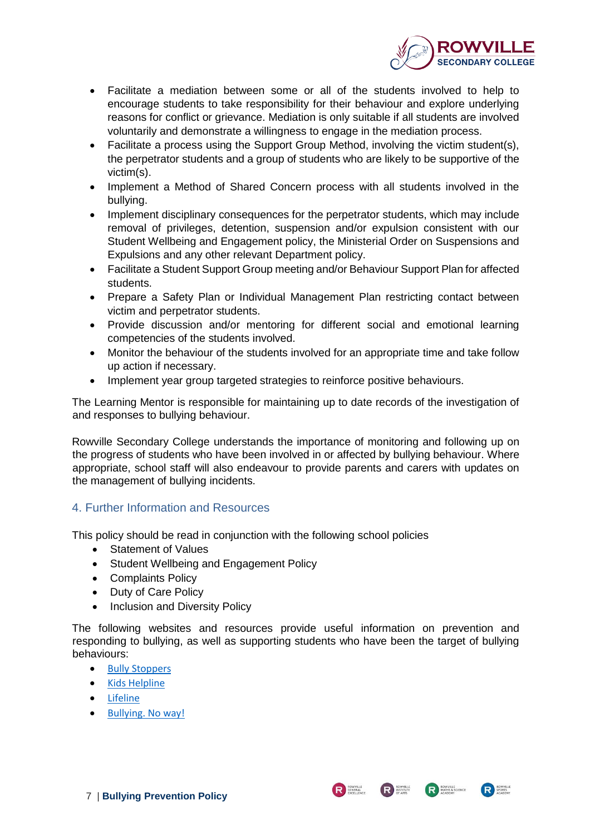

- Facilitate a mediation between some or all of the students involved to help to encourage students to take responsibility for their behaviour and explore underlying reasons for conflict or grievance. Mediation is only suitable if all students are involved voluntarily and demonstrate a willingness to engage in the mediation process.
- Facilitate a process using the Support Group Method, involving the victim student(s), the perpetrator students and a group of students who are likely to be supportive of the victim(s).
- Implement a Method of Shared Concern process with all students involved in the bullying.
- Implement disciplinary consequences for the perpetrator students, which may include removal of privileges, detention, suspension and/or expulsion consistent with our Student Wellbeing and Engagement policy, the Ministerial Order on Suspensions and Expulsions and any other relevant Department policy.
- Facilitate a Student Support Group meeting and/or Behaviour Support Plan for affected students.
- Prepare a Safety Plan or Individual Management Plan restricting contact between victim and perpetrator students.
- Provide discussion and/or mentoring for different social and emotional learning competencies of the students involved.
- Monitor the behaviour of the students involved for an appropriate time and take follow up action if necessary.
- Implement year group targeted strategies to reinforce positive behaviours.

The Learning Mentor is responsible for maintaining up to date records of the investigation of and responses to bullying behaviour.

Rowville Secondary College understands the importance of monitoring and following up on the progress of students who have been involved in or affected by bullying behaviour. Where appropriate, school staff will also endeavour to provide parents and carers with updates on the management of bullying incidents.

# <span id="page-6-0"></span>4. Further Information and Resources

This policy should be read in conjunction with the following school policies

- Statement of Values
- Student Wellbeing and Engagement Policy
- Complaints Policy
- Duty of Care Policy
- Inclusion and Diversity Policy

The following websites and resources provide useful information on prevention and responding to bullying, as well as supporting students who have been the target of bullying behaviours:

- [Bully Stoppers](https://bullyingnoway.gov.au/PreventingBullying/Planning/Pages/School-policy.aspx)
- [Kids Helpline](https://kidshelpline.com.au/)
- [Lifeline](https://www.lifeline.org.au/)
- [Bullying. No way!](https://bullyingnoway.gov.au/PreventingBullying/Planning/Pages/School-policy.aspx)



R INSTITUTE